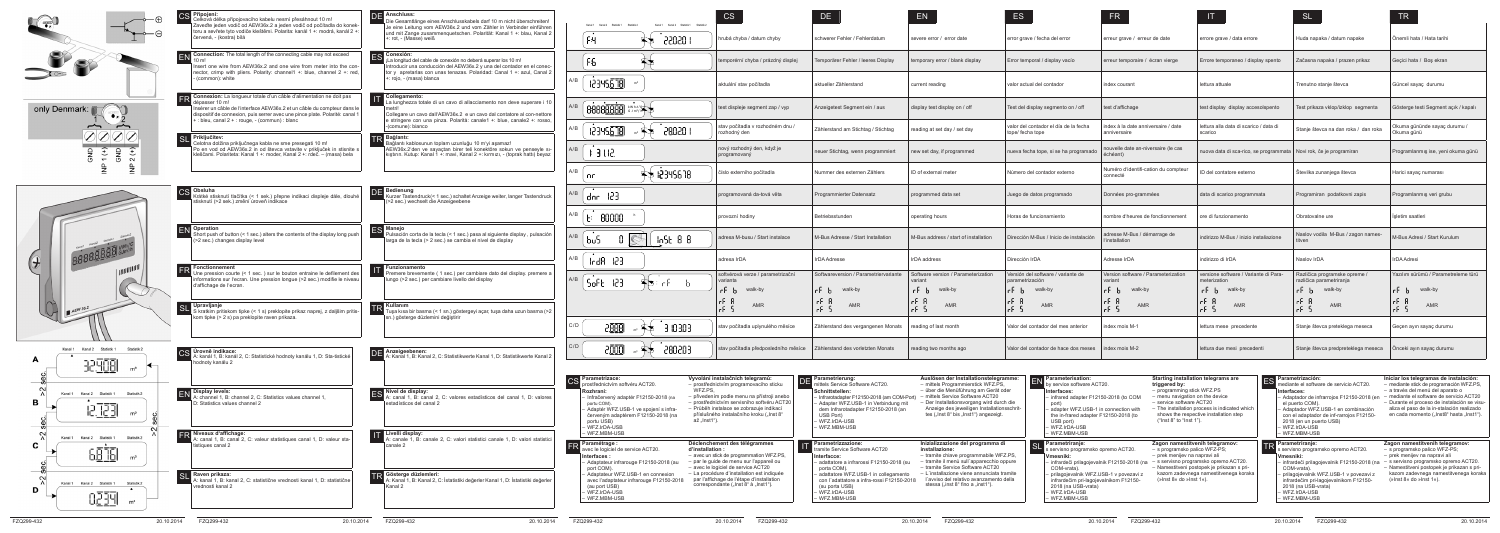| Parametrierung:<br>mittels Service Software ACT20.<br>Schnittstellen:<br>- Infrarotadapter F12150-2018 (am COM-Port)<br>- Adapter WFZ.USB-1 in Verbindung mit<br>dem Infrarotadapter F12150-2018 (an<br>USB Port)<br>- WFZ.IrDA-USB<br>– WFZ.MBM-USB                         | Auslösen der Installationstelegramme:<br>- mittels Programmierstick WFZ.PS,<br>- über die Menüführung am Gerät oder<br>- mittels Service Software ACT20<br>- Der Installationsvorgang wird durch die<br>Anzeige des jeweiligen Installationsschrit-<br>tes ("Inst 8" bis "Inst1") angezeigt.                 | $EN$ Parameterisation:<br>by service software ACT20.<br>Interfaces:<br>- infrared adapter F12150-2018 (to COM<br>port)<br>- adapter WFZ.USB-1 in connection with<br>the in-frared adapter F12150-2018 (to<br>USB port)<br>- WFZ.IrDA-USB<br>- WFZ.MBM-USB                                | <b>Starting installation telegrams are</b><br>triggered by:<br>- programming stick WFZ.PS<br>- menu navigation on the device<br>- service software ACT20<br>- The installation process is indicated which<br>shows the respective installation step<br>("Inst 8" to "Inst 1"). | ר⊏ | $\Box$ Parametrización:<br>mediante el software de servicio ACT20.<br>Interfaces:<br>- Adaptador de infrarrojos F12150-2018 (en<br>el puerto COM).<br>- Adaptador WFZ.USB-1 en combinación<br>con el adaptador de inf-rarrojos F12150-<br>2018 (en un puerto USB)<br>– WFZ.IrDA-USB<br>– WFZ.MBM-USB            | Iniciar los telegramas de instalación:<br>- mediante stick de programación WFZ.PS,<br>- a través del menú del aparato o<br>mediante el software de servicio ACT20<br>- Durante el proceso de instalación se visu-<br>aliza el paso de la in-stalación realizado<br>en cada momento ("Inst8" hasta "Inst1"). |
|------------------------------------------------------------------------------------------------------------------------------------------------------------------------------------------------------------------------------------------------------------------------------|--------------------------------------------------------------------------------------------------------------------------------------------------------------------------------------------------------------------------------------------------------------------------------------------------------------|------------------------------------------------------------------------------------------------------------------------------------------------------------------------------------------------------------------------------------------------------------------------------------------|--------------------------------------------------------------------------------------------------------------------------------------------------------------------------------------------------------------------------------------------------------------------------------|----|-----------------------------------------------------------------------------------------------------------------------------------------------------------------------------------------------------------------------------------------------------------------------------------------------------------------|-------------------------------------------------------------------------------------------------------------------------------------------------------------------------------------------------------------------------------------------------------------------------------------------------------------|
| Parametrizzazione:<br>tramite Service Software ACT20<br>Interfacce:<br>- adattatore a infrarossi F12150-2018 (su<br>porta COM).<br>- adattatore WFZ.USB-1 in collegamento<br>con l'adattatore a infra-rossi F12150-2018<br>(su porta USB)<br>- WFZ.IrDA-USB<br>- WFZ.MBM-USB | Inizializzazione del programma di<br>installazione:<br>- tramite chiave programmabile WFZ.PS,<br>- tramite il menù sull'apparecchio oppure<br>- tramite Service Software ACT20<br>- L'installazione viene annunciata tramite<br>l'avviso del relativo avanzamento della<br>stessa ("inst 8" fino a "inst1"). | Parametriranje:<br>SL<br>s servisno programsko opremo ACT20.<br>Vmesniki:<br>- infrardeči prilagojevalnik F12150-2018 (na<br>COM-vrata).<br>- prilagojevalnik WFZ.USB-1 v povezavi z<br>infrardečim pri-lagojevalnikom F12150-<br>2018 (na USB-vrata)<br>- WFZ.IrDA-USB<br>- WFZ.MBM-USB | Zagon namestitvenih telegramov:<br>- s programsko palico WFZ-PS;<br>- prek menijev na napravi ali<br>s servisno programsko opremo ACT20.<br>- Namestitveni postopek je prikazan s pri-<br>kazom zadevnega namestitvenega koraka<br>( $\frac{1}{2}$ lnst 8« do »lnst 1«).       |    | $\left  \frac{1}{2} \right $ Parametriranje:<br>s servisno programsko opremo ACT20.<br>Vmesniki:<br>- infrardeči prilagojevalnik F12150-2018 (na<br>COM-vrata).<br>- prilagojevalnik WFZ.USB-1 v povezavi z<br>infrardečim pri-lagojevalnikom F12150-<br>2018 (na USB-vrata)<br>- WFZ.IrDA-USB<br>– WFZ.MBM-USB | Zagon namestitvenih telegramov:<br>- s programsko palico WFZ-PS;<br>- prek menijev na napravi ali<br>s servisno programsko opremo ACT20.<br>- Namestitveni postopek je prikazan s pri-<br>kazom zadevnega namestitvenega koraka<br>( $\sqrt{s}$ lnst 8« do $\sqrt{s}$ lnst 1«).                             |



| Statistik <sup>2</sup><br>Kanal 1<br>Kanal 2<br>Statistik <sub>1</sub><br>Kanal 1<br>Kanal 2 Statistik 1 Statistik |                                                            | CS                        | DE                                               | EN                                    | ES                                             | <b>FR</b>                                                 | $\mathsf{I}$                                        | <b>SL</b>                                                            | <b>TR</b>                                                 |                                            |
|--------------------------------------------------------------------------------------------------------------------|------------------------------------------------------------|---------------------------|--------------------------------------------------|---------------------------------------|------------------------------------------------|-----------------------------------------------------------|-----------------------------------------------------|----------------------------------------------------------------------|-----------------------------------------------------------|--------------------------------------------|
|                                                                                                                    | FЧ                                                         | 35050 I<br>⋐╄             | hrubá chyba / datum chyby                        | schwerer Fehler / Fehlerdatum         | severe error / error date                      | error grave / fecha del error                             | erreur grave / erreur de date                       | errore grave / data errore                                           | Huda napaka / datum napake                                | Onemli hata / Hata tarihi                  |
|                                                                                                                    | F6.                                                        | ፍ★                        | temporérní chyba / prázdný displej               | Temporärer Fehler / leeres Display    | temporary error / blank display                | Error temporal / display vacío                            | erreur temporaire / écran vierge                    | Errore temporaneo / display spento                                   | Začasna napaka / prazen prikaz                            | Geçici hata / Boş ekran                    |
|                                                                                                                    | 1234S <u>670</u><br>m <sup>3</sup>                         |                           | aktuální stav počítadla                          | aktueller Zählerstand                 | current reading                                | valor actual del contador                                 | index courant                                       | lettura attuale                                                      | Trenutno stanje števca                                    | Güncel sayaç durumu                        |
|                                                                                                                    | <b>88888888 <straxed &="" b="" b8888888<=""></straxed></b> |                           | test displeje segment zap / vyp                  | Anzeigetest Segment ein / aus         | display test display on / off                  | Test del display segmento on / off                        | test d'affichage                                    | test display display accesolspento                                   | Test prikaza vklop/izklop segmenta                        | Gösterge testi Segment açık / kapalı       |
|                                                                                                                    | 12345 <u>610</u>                                           | 38020 1<br>क≭             | stav počítadla v rozhodném dnu /<br>rozhodný den | Zählerstand am Stichtag / Stichtag    | reading at set day / set day                   | valor del contador el día de la fecha<br>tope/ fecha tope | index à la date anniversaire / date<br>anniversaire | lettura alla data di scarico / data di<br>scarico                    | Stanje števca na dan roka / dan roka                      | Okuma gününde sayaç durumu /<br>Okuma günü |
| A/B                                                                                                                | $+3112.$                                                   |                           | nový rozhodný den, když je<br>programovaný       | neuer Stichtag, wenn programmiert     | new set day, if programmed                     | nueva fecha tope, si se ha programado                     | nouvelle date an-niversaire (le cas<br>échéant)     | nuova data di sca-rico, se programmata   Novi rok, če je programiran |                                                           | Programlanmış ise, yeni okuma günü         |
|                                                                                                                    | пr                                                         | \$\$ 12345678             | číslo externího počítadla                        | Nummer des externen Zählers           | ID of external meter                           | Número del contador externo                               | Numéro d'identifi-cation du compteur<br>connecté    | ID del contatore esterno                                             | Stevilka zunanjega števca                                 | Harici sayaç numarası                      |
|                                                                                                                    | dor $123$                                                  |                           | programovaná da-tová věta                        | Programmierter Datensatz              | programmed data set                            | Juego de datos programado                                 | Données pro-grammées                                | data di scarico programmata                                          | Programiran podatkovni zapis                              | Programlanmış veri grubu                   |
|                                                                                                                    | 80000<br>F.                                                |                           | provozní hodiny                                  | Betriebsstunden                       | operating hours                                | Horas de funcionamiento                                   | nombre d'heures de fonctionnement                   | ore di funzionamento                                                 | Obratovalne ure                                           | Işletim saatleri                           |
|                                                                                                                    | b <sub>u</sub>                                             | InSE 88                   | adresa M-busu / Start instalace                  | M-Bus Adresse / Start Installation    | M-Bus address / start of installation          | Dirección M-Bus / Inicio de instalación                   | adresse M-Bus / démarrage de<br>l'installation      | indirizzo M-Bus / inizio instaliazione                               | Naslov vodila M-Bus / zagon names-<br>titven              | M-Bus Adresi / Start Kurulum               |
|                                                                                                                    | -123<br>In dB                                              |                           | adresa IrDA                                      | <b>IrDA Adresse</b>                   | IrDA address                                   | Dirección IrDA                                            | Adresse IrDA                                        | indirizzo di IrDA                                                    | Naslov IrDA                                               | <b>IrDA Adresi</b>                         |
|                                                                                                                    | Soft 123                                                   | \$₹<br>r b<br>in.         | softvérová verze / parametrizační<br>varianta    | Softwareversion / Parametriervariante | Software version / Parameterization<br>variant | Versión del software / variante de<br>parametrización     | Version software / Parameterization<br>variant      | versione software / Variante di Para-<br>meterization                | Različica programske opreme /<br>različica parametriranja | Yazılım sürümü / Parametreleme türü        |
|                                                                                                                    |                                                            |                           | r F<br>walk-by                                   | irf bi<br>walk-by                     | rf b<br>walk-by                                | rf b<br>walk-by                                           | rf b<br>walk-by                                     | rf b<br>walk-by                                                      | walk-by                                                   | r F<br>walk-by                             |
|                                                                                                                    |                                                            |                           | rf A<br>AMR<br>rf 5                              | $rf$ $ $<br>AMR<br>$rf$ S             | rf A<br>AMR<br>$rf$ 5                          | rf f<br>AMR<br>$rf$ 5                                     | rF B<br>AMR<br>$-5$                                 | rF.<br>AMR<br>rfS                                                    | ۴۴<br>AMR<br>$rf$ 5                                       | rF.<br>AMR<br>$rf$ 5                       |
| C/D                                                                                                                | 2 <u>888</u>                                               | 3 10 30 3<br>$\mathbb{R}$ | stav počítadla uplynulého měsíce                 | Zählerstand des vergangenen Monats    | reading of last month                          | Valor del contador del mes anterior                       | index mois M-1                                      | lettura mese precedente                                              | Stanje števca preteklega meseca                           | Geçen ayın sayaç durumu                    |
| C/D                                                                                                                | 2000                                                       | 580503                    | stav počítadla předposledního měsíce             | Zählerstand des vorletzten Monats     | reading two months ago                         | Valor del contador de hace dos meses                      | index mois M-2                                      | lettura due mesi precedenti                                          | Stanje števca predpreteklega meseca                       | Onceki ayın sayaç durumu                   |